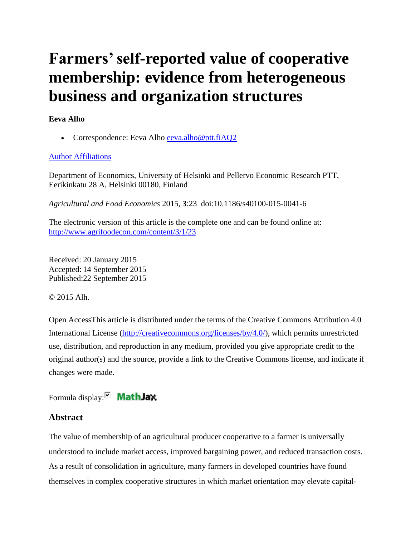# **Farmers' self-reported value of cooperative membership: evidence from heterogeneous business and organization structures**

# **Eeva Alho**

Correspondence: Eeva Alho [eeva.alho@ptt.fiAQ2](mailto:eeva.alho@ptt.fiAQ2)

# [Author Affiliations](http://www.agrifoodecon.com/content/3/1/23)

Department of Economics, University of Helsinki and Pellervo Economic Research PTT, Eerikinkatu 28 A, Helsinki 00180, Finland

*Agricultural and Food Economics* 2015, **3**:23 doi:10.1186/s40100-015-0041-6

The electronic version of this article is the complete one and can be found online at: <http://www.agrifoodecon.com/content/3/1/23>

Received: 20 January 2015 Accepted: 14 September 2015 Published:22 September 2015

© 2015 Alh.

Open AccessThis article is distributed under the terms of the Creative Commons Attribution 4.0 International License [\(http://creativecommons.org/licenses/by/4.0/\)](http://creativecommons.org/licenses/by/4.0/), which permits unrestricted use, distribution, and reproduction in any medium, provided you give appropriate credit to the original author(s) and the source, provide a link to the Creative Commons license, and indicate if changes were made.

Formula display: $\nabla$  **Math Jax** 

# **Abstract**

The value of membership of an agricultural producer cooperative to a farmer is universally understood to include market access, improved bargaining power, and reduced transaction costs. As a result of consolidation in agriculture, many farmers in developed countries have found themselves in complex cooperative structures in which market orientation may elevate capital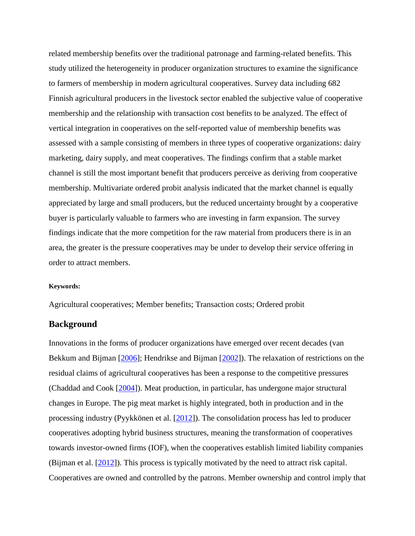related membership benefits over the traditional patronage and farming-related benefits. This study utilized the heterogeneity in producer organization structures to examine the significance to farmers of membership in modern agricultural cooperatives. Survey data including 682 Finnish agricultural producers in the livestock sector enabled the subjective value of cooperative membership and the relationship with transaction cost benefits to be analyzed. The effect of vertical integration in cooperatives on the self-reported value of membership benefits was assessed with a sample consisting of members in three types of cooperative organizations: dairy marketing, dairy supply, and meat cooperatives. The findings confirm that a stable market channel is still the most important benefit that producers perceive as deriving from cooperative membership. Multivariate ordered probit analysis indicated that the market channel is equally appreciated by large and small producers, but the reduced uncertainty brought by a cooperative buyer is particularly valuable to farmers who are investing in farm expansion. The survey findings indicate that the more competition for the raw material from producers there is in an area, the greater is the pressure cooperatives may be under to develop their service offering in order to attract members.

#### **Keywords:**

Agricultural cooperatives; Member benefits; Transaction costs; Ordered probit

## **Background**

Innovations in the forms of producer organizations have emerged over recent decades (van Bekkum and Bijman [\[2006\]](http://www.agrifoodecon.com/content/3/1/23#B22); Hendrikse and Bijman [\[2002\]](http://www.agrifoodecon.com/content/3/1/23#B10)). The relaxation of restrictions on the residual claims of agricultural cooperatives has been a response to the competitive pressures (Chaddad and Cook [\[2004\]](http://www.agrifoodecon.com/content/3/1/23#B3)). Meat production, in particular, has undergone major structural changes in Europe. The pig meat market is highly integrated, both in production and in the processing industry (Pyykkönen et al. [\[2012\]](http://www.agrifoodecon.com/content/3/1/23#B18)). The consolidation process has led to producer cooperatives adopting hybrid business structures, meaning the transformation of cooperatives towards investor-owned firms (IOF), when the cooperatives establish limited liability companies (Bijman et al.  $[2012]$ ). This process is typically motivated by the need to attract risk capital. Cooperatives are owned and controlled by the patrons. Member ownership and control imply that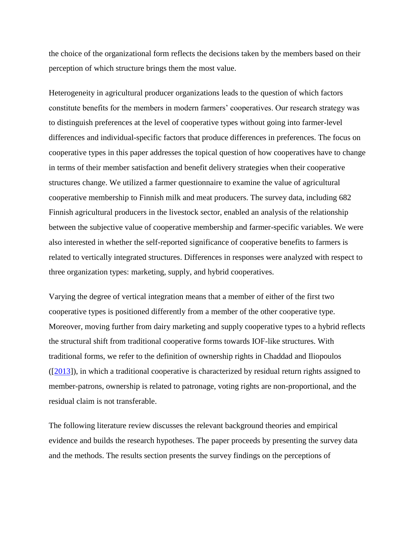the choice of the organizational form reflects the decisions taken by the members based on their perception of which structure brings them the most value.

Heterogeneity in agricultural producer organizations leads to the question of which factors constitute benefits for the members in modern farmers' cooperatives. Our research strategy was to distinguish preferences at the level of cooperative types without going into farmer-level differences and individual-specific factors that produce differences in preferences. The focus on cooperative types in this paper addresses the topical question of how cooperatives have to change in terms of their member satisfaction and benefit delivery strategies when their cooperative structures change. We utilized a farmer questionnaire to examine the value of agricultural cooperative membership to Finnish milk and meat producers. The survey data, including 682 Finnish agricultural producers in the livestock sector, enabled an analysis of the relationship between the subjective value of cooperative membership and farmer-specific variables. We were also interested in whether the self-reported significance of cooperative benefits to farmers is related to vertically integrated structures. Differences in responses were analyzed with respect to three organization types: marketing, supply, and hybrid cooperatives.

Varying the degree of vertical integration means that a member of either of the first two cooperative types is positioned differently from a member of the other cooperative type. Moreover, moving further from dairy marketing and supply cooperative types to a hybrid reflects the structural shift from traditional cooperative forms towards IOF-like structures. With traditional forms, we refer to the definition of ownership rights in Chaddad and Iliopoulos ([\[2013\]](http://www.agrifoodecon.com/content/3/1/23#B4)), in which a traditional cooperative is characterized by residual return rights assigned to member-patrons, ownership is related to patronage, voting rights are non-proportional, and the residual claim is not transferable.

The following literature review discusses the relevant background theories and empirical evidence and builds the research hypotheses. The paper proceeds by presenting the survey data and the methods. The results section presents the survey findings on the perceptions of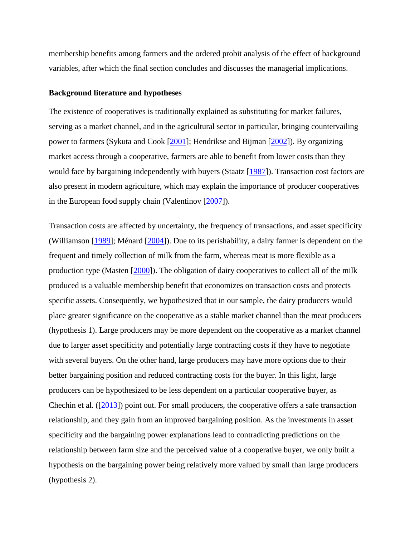membership benefits among farmers and the ordered probit analysis of the effect of background variables, after which the final section concludes and discusses the managerial implications.

#### **Background literature and hypotheses**

The existence of cooperatives is traditionally explained as substituting for market failures, serving as a market channel, and in the agricultural sector in particular, bringing countervailing power to farmers (Sykuta and Cook [\[2001\]](http://www.agrifoodecon.com/content/3/1/23#B20); Hendrikse and Bijman [\[2002\]](http://www.agrifoodecon.com/content/3/1/23#B10)). By organizing market access through a cooperative, farmers are able to benefit from lower costs than they would face by bargaining independently with buyers (Staatz [\[1987\]](http://www.agrifoodecon.com/content/3/1/23#B19)). Transaction cost factors are also present in modern agriculture, which may explain the importance of producer cooperatives in the European food supply chain (Valentinov [\[2007\]](http://www.agrifoodecon.com/content/3/1/23#B21)).

Transaction costs are affected by uncertainty, the frequency of transactions, and asset specificity (Williamson [\[1989\]](http://www.agrifoodecon.com/content/3/1/23#B23); Ménard [\[2004\]](http://www.agrifoodecon.com/content/3/1/23#B14)). Due to its perishability, a dairy farmer is dependent on the frequent and timely collection of milk from the farm, whereas meat is more flexible as a production type (Masten [\[2000\]](http://www.agrifoodecon.com/content/3/1/23#B13)). The obligation of dairy cooperatives to collect all of the milk produced is a valuable membership benefit that economizes on transaction costs and protects specific assets. Consequently, we hypothesized that in our sample, the dairy producers would place greater significance on the cooperative as a stable market channel than the meat producers (hypothesis 1). Large producers may be more dependent on the cooperative as a market channel due to larger asset specificity and potentially large contracting costs if they have to negotiate with several buyers. On the other hand, large producers may have more options due to their better bargaining position and reduced contracting costs for the buyer. In this light, large producers can be hypothesized to be less dependent on a particular cooperative buyer, as Chechin et al. ([\[2013\]](http://www.agrifoodecon.com/content/3/1/23#B5)) point out. For small producers, the cooperative offers a safe transaction relationship, and they gain from an improved bargaining position. As the investments in asset specificity and the bargaining power explanations lead to contradicting predictions on the relationship between farm size and the perceived value of a cooperative buyer, we only built a hypothesis on the bargaining power being relatively more valued by small than large producers (hypothesis 2).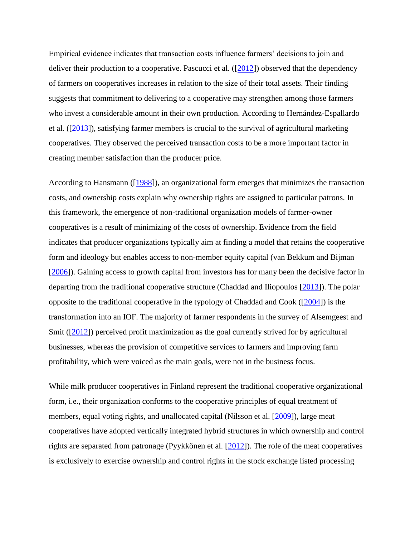Empirical evidence indicates that transaction costs influence farmers' decisions to join and deliver their production to a cooperative. Pascucci et al.  $([2012])$  $([2012])$  $([2012])$  observed that the dependency of farmers on cooperatives increases in relation to the size of their total assets. Their finding suggests that commitment to delivering to a cooperative may strengthen among those farmers who invest a considerable amount in their own production. According to Hernández-Espallardo et al.  $(2013)$ , satisfying farmer members is crucial to the survival of agricultural marketing cooperatives. They observed the perceived transaction costs to be a more important factor in creating member satisfaction than the producer price.

According to Hansmann ([\[1988\]](http://www.agrifoodecon.com/content/3/1/23#B9)), an organizational form emerges that minimizes the transaction costs, and ownership costs explain why ownership rights are assigned to particular patrons. In this framework, the emergence of non-traditional organization models of farmer-owner cooperatives is a result of minimizing of the costs of ownership. Evidence from the field indicates that producer organizations typically aim at finding a model that retains the cooperative form and ideology but enables access to non-member equity capital (van Bekkum and Bijman [\[2006\]](http://www.agrifoodecon.com/content/3/1/23#B22)). Gaining access to growth capital from investors has for many been the decisive factor in departing from the traditional cooperative structure (Chaddad and Iliopoulos [\[2013\]](http://www.agrifoodecon.com/content/3/1/23#B4)). The polar opposite to the traditional cooperative in the typology of Chaddad and Cook ([\[2004\]](http://www.agrifoodecon.com/content/3/1/23#B3)) is the transformation into an IOF. The majority of farmer respondents in the survey of Alsemgeest and Smit ([\[2012\]](http://www.agrifoodecon.com/content/3/1/23#B1)) perceived profit maximization as the goal currently strived for by agricultural businesses, whereas the provision of competitive services to farmers and improving farm profitability, which were voiced as the main goals, were not in the business focus.

While milk producer cooperatives in Finland represent the traditional cooperative organizational form, i.e., their organization conforms to the cooperative principles of equal treatment of members, equal voting rights, and unallocated capital (Nilsson et al. [\[2009\]](http://www.agrifoodecon.com/content/3/1/23#B16)), large meat cooperatives have adopted vertically integrated hybrid structures in which ownership and control rights are separated from patronage (Pyykkönen et al. [\[2012\]](http://www.agrifoodecon.com/content/3/1/23#B18)). The role of the meat cooperatives is exclusively to exercise ownership and control rights in the stock exchange listed processing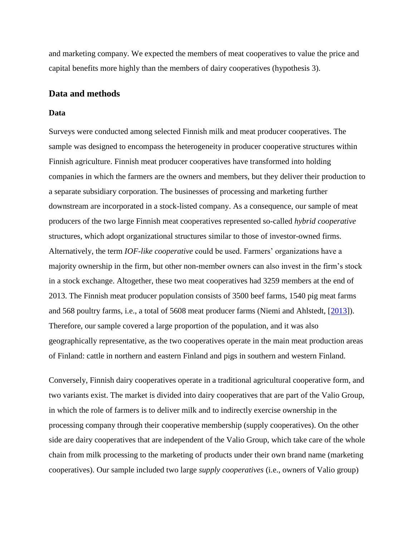and marketing company. We expected the members of meat cooperatives to value the price and capital benefits more highly than the members of dairy cooperatives (hypothesis 3).

## **Data and methods**

#### **Data**

Surveys were conducted among selected Finnish milk and meat producer cooperatives. The sample was designed to encompass the heterogeneity in producer cooperative structures within Finnish agriculture. Finnish meat producer cooperatives have transformed into holding companies in which the farmers are the owners and members, but they deliver their production to a separate subsidiary corporation. The businesses of processing and marketing further downstream are incorporated in a stock-listed company. As a consequence, our sample of meat producers of the two large Finnish meat cooperatives represented so-called *hybrid cooperative* structures, which adopt organizational structures similar to those of investor-owned firms. Alternatively, the term *IOF-like cooperative* could be used. Farmers' organizations have a majority ownership in the firm, but other non-member owners can also invest in the firm's stock in a stock exchange. Altogether, these two meat cooperatives had 3259 members at the end of 2013. The Finnish meat producer population consists of 3500 beef farms, 1540 pig meat farms and 568 poultry farms, i.e., a total of 5608 meat producer farms (Niemi and Ahlstedt, [\[2013\]](http://www.agrifoodecon.com/content/3/1/23#B15)). Therefore, our sample covered a large proportion of the population, and it was also geographically representative, as the two cooperatives operate in the main meat production areas of Finland: cattle in northern and eastern Finland and pigs in southern and western Finland.

Conversely, Finnish dairy cooperatives operate in a traditional agricultural cooperative form, and two variants exist. The market is divided into dairy cooperatives that are part of the Valio Group, in which the role of farmers is to deliver milk and to indirectly exercise ownership in the processing company through their cooperative membership (supply cooperatives). On the other side are dairy cooperatives that are independent of the Valio Group, which take care of the whole chain from milk processing to the marketing of products under their own brand name (marketing cooperatives). Our sample included two large *supply cooperatives* (i.e., owners of Valio group)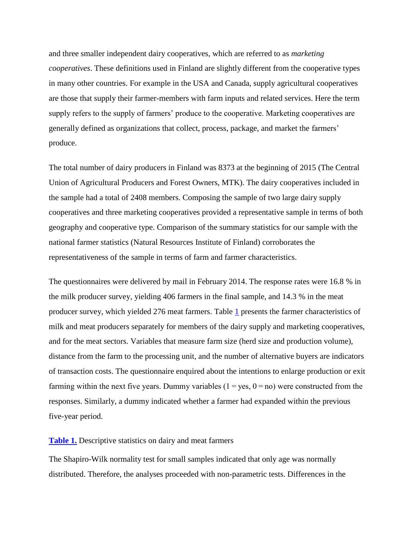and three smaller independent dairy cooperatives, which are referred to as *marketing cooperatives*. These definitions used in Finland are slightly different from the cooperative types in many other countries. For example in the USA and Canada, supply agricultural cooperatives are those that supply their farmer-members with farm inputs and related services. Here the term supply refers to the supply of farmers' produce to the cooperative. Marketing cooperatives are generally defined as organizations that collect, process, package, and market the farmers' produce.

The total number of dairy producers in Finland was 8373 at the beginning of 2015 (The Central Union of Agricultural Producers and Forest Owners, MTK). The dairy cooperatives included in the sample had a total of 2408 members. Composing the sample of two large dairy supply cooperatives and three marketing cooperatives provided a representative sample in terms of both geography and cooperative type. Comparison of the summary statistics for our sample with the national farmer statistics (Natural Resources Institute of Finland) corroborates the representativeness of the sample in terms of farm and farmer characteristics.

The questionnaires were delivered by mail in February 2014. The response rates were 16.8 % in the milk producer survey, yielding 406 farmers in the final sample, and 14.3 % in the meat producer survey, which yielded  $276$  meat farmers. Table  $1$  presents the farmer characteristics of milk and meat producers separately for members of the dairy supply and marketing cooperatives, and for the meat sectors. Variables that measure farm size (herd size and production volume), distance from the farm to the processing unit, and the number of alternative buyers are indicators of transaction costs. The questionnaire enquired about the intentions to enlarge production or exit farming within the next five years. Dummy variables  $(1 = yes, 0 = no)$  were constructed from the responses. Similarly, a dummy indicated whether a farmer had expanded within the previous five-year period.

#### **[Table 1.](http://www.agrifoodecon.com/content/3/1/23/table/T1)** Descriptive statistics on dairy and meat farmers

The Shapiro-Wilk normality test for small samples indicated that only age was normally distributed. Therefore, the analyses proceeded with non-parametric tests. Differences in the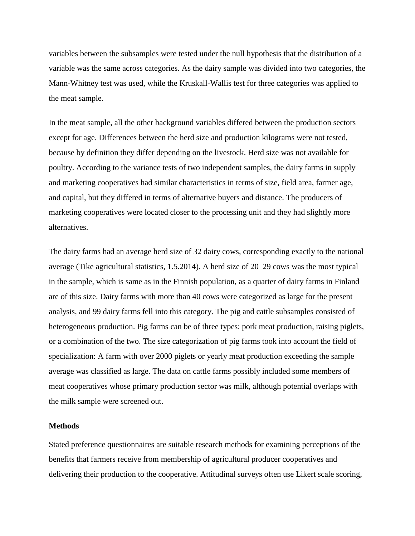variables between the subsamples were tested under the null hypothesis that the distribution of a variable was the same across categories. As the dairy sample was divided into two categories, the Mann-Whitney test was used, while the Kruskall-Wallis test for three categories was applied to the meat sample.

In the meat sample, all the other background variables differed between the production sectors except for age. Differences between the herd size and production kilograms were not tested, because by definition they differ depending on the livestock. Herd size was not available for poultry. According to the variance tests of two independent samples, the dairy farms in supply and marketing cooperatives had similar characteristics in terms of size, field area, farmer age, and capital, but they differed in terms of alternative buyers and distance. The producers of marketing cooperatives were located closer to the processing unit and they had slightly more alternatives.

The dairy farms had an average herd size of 32 dairy cows, corresponding exactly to the national average (Tike agricultural statistics, 1.5.2014). A herd size of 20–29 cows was the most typical in the sample, which is same as in the Finnish population, as a quarter of dairy farms in Finland are of this size. Dairy farms with more than 40 cows were categorized as large for the present analysis, and 99 dairy farms fell into this category. The pig and cattle subsamples consisted of heterogeneous production. Pig farms can be of three types: pork meat production, raising piglets, or a combination of the two. The size categorization of pig farms took into account the field of specialization: A farm with over 2000 piglets or yearly meat production exceeding the sample average was classified as large. The data on cattle farms possibly included some members of meat cooperatives whose primary production sector was milk, although potential overlaps with the milk sample were screened out.

#### **Methods**

Stated preference questionnaires are suitable research methods for examining perceptions of the benefits that farmers receive from membership of agricultural producer cooperatives and delivering their production to the cooperative. Attitudinal surveys often use Likert scale scoring,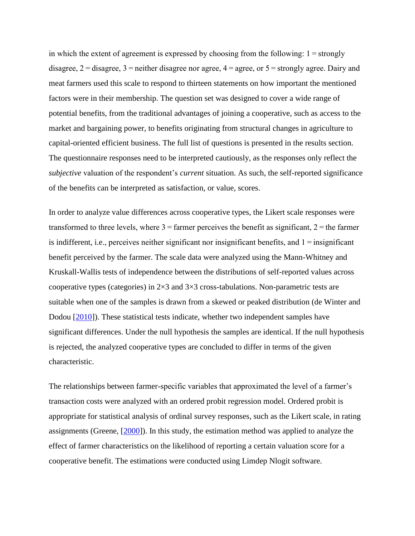in which the extent of agreement is expressed by choosing from the following:  $1 =$ strongly disagree, 2 = disagree, 3 = neither disagree nor agree, 4 = agree, or 5 = strongly agree. Dairy and meat farmers used this scale to respond to thirteen statements on how important the mentioned factors were in their membership. The question set was designed to cover a wide range of potential benefits, from the traditional advantages of joining a cooperative, such as access to the market and bargaining power, to benefits originating from structural changes in agriculture to capital-oriented efficient business. The full list of questions is presented in the results section. The questionnaire responses need to be interpreted cautiously, as the responses only reflect the *subjective* valuation of the respondent's *current* situation. As such, the self-reported significance of the benefits can be interpreted as satisfaction, or value, scores.

In order to analyze value differences across cooperative types, the Likert scale responses were transformed to three levels, where  $3 =$  farmer perceives the benefit as significant,  $2 =$  the farmer is indifferent, i.e., perceives neither significant nor insignificant benefits, and 1 = insignificant benefit perceived by the farmer. The scale data were analyzed using the Mann-Whitney and Kruskall-Wallis tests of independence between the distributions of self-reported values across cooperative types (categories) in  $2\times3$  and  $3\times3$  cross-tabulations. Non-parametric tests are suitable when one of the samples is drawn from a skewed or peaked distribution (de Winter and Dodou  $[2010]$ ). These statistical tests indicate, whether two independent samples have significant differences. Under the null hypothesis the samples are identical. If the null hypothesis is rejected, the analyzed cooperative types are concluded to differ in terms of the given characteristic.

The relationships between farmer-specific variables that approximated the level of a farmer's transaction costs were analyzed with an ordered probit regression model. Ordered probit is appropriate for statistical analysis of ordinal survey responses, such as the Likert scale, in rating assignments (Greene, [\[2000\]](http://www.agrifoodecon.com/content/3/1/23#B8)). In this study, the estimation method was applied to analyze the effect of farmer characteristics on the likelihood of reporting a certain valuation score for a cooperative benefit. The estimations were conducted using Limdep Nlogit software.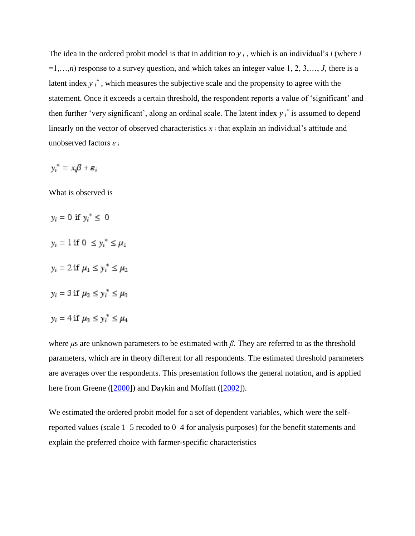The idea in the ordered probit model is that in addition to  $y_i$ , which is an individual's *i* (where *i* =1,…,*n*) response to a survey question, and which takes an integer value 1, 2, 3,…, *J*, there is a latent index y  $i^*$ , which measures the subjective scale and the propensity to agree with the statement. Once it exceeds a certain threshold, the respondent reports a value of 'significant' and then further 'very significant', along an ordinal scale. The latent index *y <sup>i</sup> \** is assumed to depend linearly on the vector of observed characteristics  $x_i$  that explain an individual's attitude and unobserved factors *ε <sup>i</sup>*

$$
y_i^* = x_i \beta + \varepsilon_i
$$

What is observed is

- $y_i = 0$  if  $y_i^* \leq 0$
- $y_i = 1$  if  $0 \le y_i^* \le \mu_1$
- $y_i = 2$  if  $\mu_1 \le y_i^* \le \mu_2$
- $y_i = 3$  if  $\mu_2 \le y_i^* \le \mu_3$
- $y_i = 4$  if  $\mu_3 \le y_i^* \le \mu_4$

where *μ*s are unknown parameters to be estimated with *β.* They are referred to as the threshold parameters, which are in theory different for all respondents. The estimated threshold parameters are averages over the respondents. This presentation follows the general notation, and is applied here from Greene ([\[2000\]](http://www.agrifoodecon.com/content/3/1/23#B8)) and Daykin and Moffatt ([\[2002\]](http://www.agrifoodecon.com/content/3/1/23#B6)).

We estimated the ordered probit model for a set of dependent variables, which were the selfreported values (scale 1–5 recoded to 0–4 for analysis purposes) for the benefit statements and explain the preferred choice with farmer-specific characteristics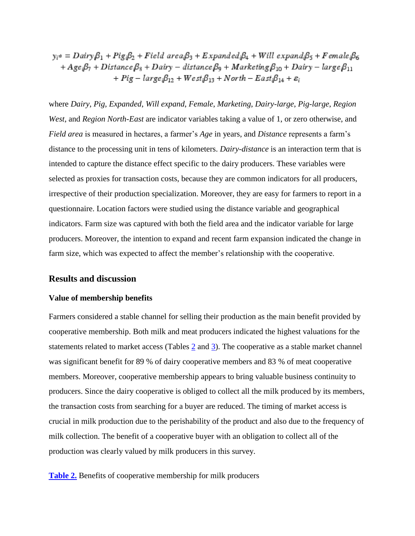$y_i^* = Dairy\beta_1 + Pig_i\beta_2 + Field \ area_i\beta_3 + Expanded_i\beta_4 + Will \ expand_i\beta_5 + Female_i\beta_6$ + Age<sub>i</sub> $\beta_7$  + Distance  $\beta_8$  + Dairy – distance  $\beta_9$  + Marketing  $\beta_{10}$  + Dairy – large  $\beta_{11}$ +  $Pig - large_i\beta_{12} + West_i\beta_{13} + North - East_i\beta_{14} + \varepsilon_i$ 

where *Dairy*, *Pig*, *Expanded*, *Will expand*, *Female*, *Marketing*, *Dairy-large*, *Pig-large*, *Region West*, and *Region North-East* are indicator variables taking a value of 1, or zero otherwise, and *Field area* is measured in hectares, a farmer's *Age* in years, and *Distance* represents a farm's distance to the processing unit in tens of kilometers. *Dairy-distance* is an interaction term that is intended to capture the distance effect specific to the dairy producers. These variables were selected as proxies for transaction costs, because they are common indicators for all producers, irrespective of their production specialization. Moreover, they are easy for farmers to report in a questionnaire. Location factors were studied using the distance variable and geographical indicators. Farm size was captured with both the field area and the indicator variable for large producers. Moreover, the intention to expand and recent farm expansion indicated the change in farm size, which was expected to affect the member's relationship with the cooperative.

### **Results and discussion**

#### **Value of membership benefits**

Farmers considered a stable channel for selling their production as the main benefit provided by cooperative membership. Both milk and meat producers indicated the highest valuations for the statements related to market access (Tables [2](http://www.agrifoodecon.com/content/3/1/23/table/T2) and [3\)](http://www.agrifoodecon.com/content/3/1/23/table/T3). The cooperative as a stable market channel was significant benefit for 89 % of dairy cooperative members and 83 % of meat cooperative members. Moreover, cooperative membership appears to bring valuable business continuity to producers. Since the dairy cooperative is obliged to collect all the milk produced by its members, the transaction costs from searching for a buyer are reduced. The timing of market access is crucial in milk production due to the perishability of the product and also due to the frequency of milk collection. The benefit of a cooperative buyer with an obligation to collect all of the production was clearly valued by milk producers in this survey.

**[Table 2.](http://www.agrifoodecon.com/content/3/1/23/table/T2)** Benefits of cooperative membership for milk producers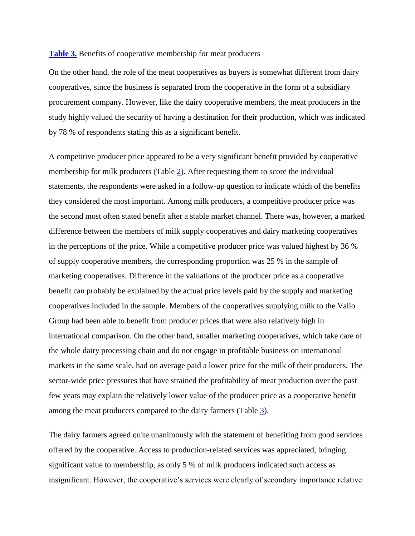#### **[Table 3.](http://www.agrifoodecon.com/content/3/1/23/table/T3)** Benefits of cooperative membership for meat producers

On the other hand, the role of the meat cooperatives as buyers is somewhat different from dairy cooperatives, since the business is separated from the cooperative in the form of a subsidiary procurement company. However, like the dairy cooperative members, the meat producers in the study highly valued the security of having a destination for their production, which was indicated by 78 % of respondents stating this as a significant benefit.

A competitive producer price appeared to be a very significant benefit provided by cooperative membership for milk producers (Table [2\)](http://www.agrifoodecon.com/content/3/1/23/table/T2). After requesting them to score the individual statements, the respondents were asked in a follow-up question to indicate which of the benefits they considered the most important. Among milk producers, a competitive producer price was the second most often stated benefit after a stable market channel. There was, however, a marked difference between the members of milk supply cooperatives and dairy marketing cooperatives in the perceptions of the price. While a competitive producer price was valued highest by 36 % of supply cooperative members, the corresponding proportion was 25 % in the sample of marketing cooperatives. Difference in the valuations of the producer price as a cooperative benefit can probably be explained by the actual price levels paid by the supply and marketing cooperatives included in the sample. Members of the cooperatives supplying milk to the Valio Group had been able to benefit from producer prices that were also relatively high in international comparison. On the other hand, smaller marketing cooperatives, which take care of the whole dairy processing chain and do not engage in profitable business on international markets in the same scale, had on average paid a lower price for the milk of their producers. The sector-wide price pressures that have strained the profitability of meat production over the past few years may explain the relatively lower value of the producer price as a cooperative benefit among the meat producers compared to the dairy farmers (Table [3\)](http://www.agrifoodecon.com/content/3/1/23/table/T3).

The dairy farmers agreed quite unanimously with the statement of benefiting from good services offered by the cooperative. Access to production-related services was appreciated, bringing significant value to membership, as only 5 % of milk producers indicated such access as insignificant. However, the cooperative's services were clearly of secondary importance relative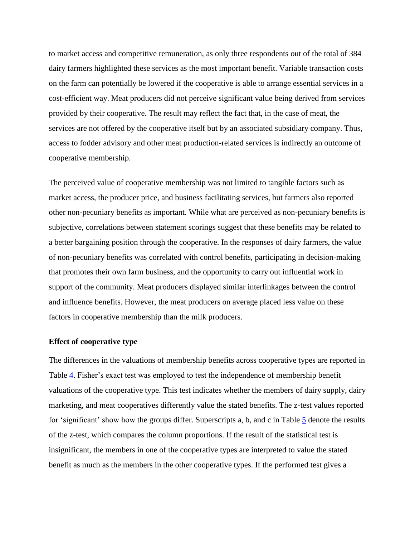to market access and competitive remuneration, as only three respondents out of the total of 384 dairy farmers highlighted these services as the most important benefit. Variable transaction costs on the farm can potentially be lowered if the cooperative is able to arrange essential services in a cost-efficient way. Meat producers did not perceive significant value being derived from services provided by their cooperative. The result may reflect the fact that, in the case of meat, the services are not offered by the cooperative itself but by an associated subsidiary company. Thus, access to fodder advisory and other meat production-related services is indirectly an outcome of cooperative membership.

The perceived value of cooperative membership was not limited to tangible factors such as market access, the producer price, and business facilitating services, but farmers also reported other non-pecuniary benefits as important. While what are perceived as non-pecuniary benefits is subjective, correlations between statement scorings suggest that these benefits may be related to a better bargaining position through the cooperative. In the responses of dairy farmers, the value of non-pecuniary benefits was correlated with control benefits, participating in decision-making that promotes their own farm business, and the opportunity to carry out influential work in support of the community. Meat producers displayed similar interlinkages between the control and influence benefits. However, the meat producers on average placed less value on these factors in cooperative membership than the milk producers.

#### **Effect of cooperative type**

The differences in the valuations of membership benefits across cooperative types are reported in Table [4.](http://www.agrifoodecon.com/content/3/1/23/table/T4) Fisher's exact test was employed to test the independence of membership benefit valuations of the cooperative type. This test indicates whether the members of dairy supply, dairy marketing, and meat cooperatives differently value the stated benefits. The z-test values reported for 'significant' show how the groups differ. Superscripts a, b, and c in Table  $\frac{5}{9}$  $\frac{5}{9}$  $\frac{5}{9}$  denote the results of the z-test, which compares the column proportions. If the result of the statistical test is insignificant, the members in one of the cooperative types are interpreted to value the stated benefit as much as the members in the other cooperative types. If the performed test gives a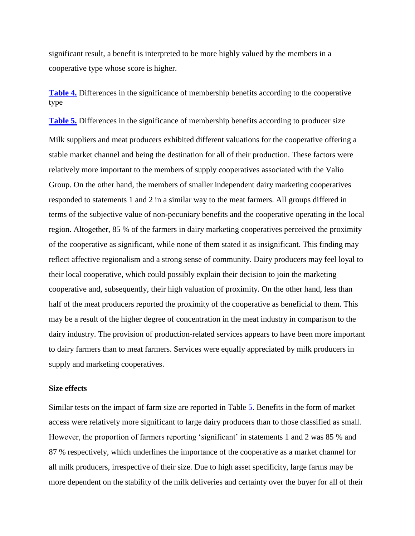significant result, a benefit is interpreted to be more highly valued by the members in a cooperative type whose score is higher.

**[Table 4.](http://www.agrifoodecon.com/content/3/1/23/table/T4)** Differences in the significance of membership benefits according to the cooperative type

**[Table 5.](http://www.agrifoodecon.com/content/3/1/23/table/T5)** Differences in the significance of membership benefits according to producer size Milk suppliers and meat producers exhibited different valuations for the cooperative offering a stable market channel and being the destination for all of their production. These factors were relatively more important to the members of supply cooperatives associated with the Valio Group. On the other hand, the members of smaller independent dairy marketing cooperatives responded to statements 1 and 2 in a similar way to the meat farmers. All groups differed in terms of the subjective value of non-pecuniary benefits and the cooperative operating in the local region. Altogether, 85 % of the farmers in dairy marketing cooperatives perceived the proximity of the cooperative as significant, while none of them stated it as insignificant. This finding may reflect affective regionalism and a strong sense of community. Dairy producers may feel loyal to their local cooperative, which could possibly explain their decision to join the marketing cooperative and, subsequently, their high valuation of proximity. On the other hand, less than half of the meat producers reported the proximity of the cooperative as beneficial to them. This may be a result of the higher degree of concentration in the meat industry in comparison to the dairy industry. The provision of production-related services appears to have been more important to dairy farmers than to meat farmers. Services were equally appreciated by milk producers in supply and marketing cooperatives.

## **Size effects**

Similar tests on the impact of farm size are reported in Table [5.](http://www.agrifoodecon.com/content/3/1/23/table/T5) Benefits in the form of market access were relatively more significant to large dairy producers than to those classified as small. However, the proportion of farmers reporting 'significant' in statements 1 and 2 was 85 % and 87 % respectively, which underlines the importance of the cooperative as a market channel for all milk producers, irrespective of their size. Due to high asset specificity, large farms may be more dependent on the stability of the milk deliveries and certainty over the buyer for all of their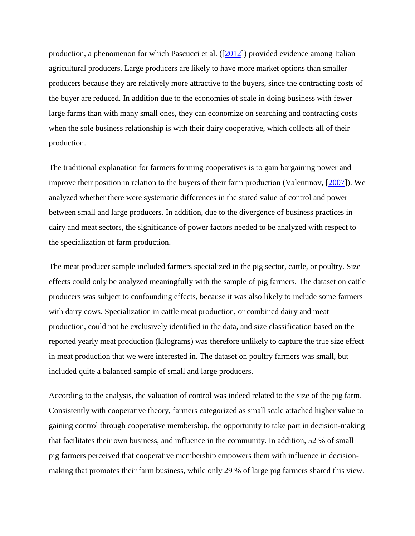production, a phenomenon for which Pascucci et al. ([\[2012\]](http://www.agrifoodecon.com/content/3/1/23#B17)) provided evidence among Italian agricultural producers. Large producers are likely to have more market options than smaller producers because they are relatively more attractive to the buyers, since the contracting costs of the buyer are reduced. In addition due to the economies of scale in doing business with fewer large farms than with many small ones, they can economize on searching and contracting costs when the sole business relationship is with their dairy cooperative, which collects all of their production.

The traditional explanation for farmers forming cooperatives is to gain bargaining power and improve their position in relation to the buyers of their farm production (Valentinov, [\[2007\]](http://www.agrifoodecon.com/content/3/1/23#B21)). We analyzed whether there were systematic differences in the stated value of control and power between small and large producers. In addition, due to the divergence of business practices in dairy and meat sectors, the significance of power factors needed to be analyzed with respect to the specialization of farm production.

The meat producer sample included farmers specialized in the pig sector, cattle, or poultry. Size effects could only be analyzed meaningfully with the sample of pig farmers. The dataset on cattle producers was subject to confounding effects, because it was also likely to include some farmers with dairy cows. Specialization in cattle meat production, or combined dairy and meat production, could not be exclusively identified in the data, and size classification based on the reported yearly meat production (kilograms) was therefore unlikely to capture the true size effect in meat production that we were interested in. The dataset on poultry farmers was small, but included quite a balanced sample of small and large producers.

According to the analysis, the valuation of control was indeed related to the size of the pig farm. Consistently with cooperative theory, farmers categorized as small scale attached higher value to gaining control through cooperative membership, the opportunity to take part in decision-making that facilitates their own business, and influence in the community. In addition, 52 % of small pig farmers perceived that cooperative membership empowers them with influence in decisionmaking that promotes their farm business, while only 29 % of large pig farmers shared this view.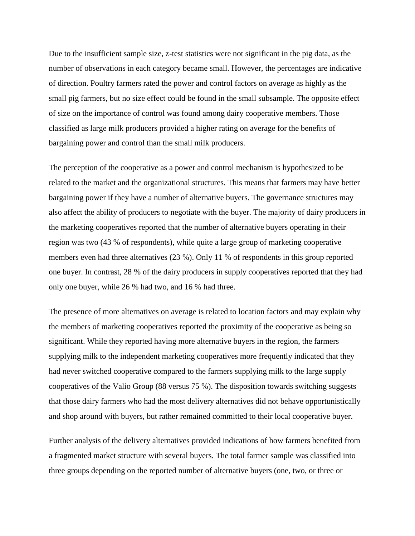Due to the insufficient sample size, z-test statistics were not significant in the pig data, as the number of observations in each category became small. However, the percentages are indicative of direction. Poultry farmers rated the power and control factors on average as highly as the small pig farmers, but no size effect could be found in the small subsample. The opposite effect of size on the importance of control was found among dairy cooperative members. Those classified as large milk producers provided a higher rating on average for the benefits of bargaining power and control than the small milk producers.

The perception of the cooperative as a power and control mechanism is hypothesized to be related to the market and the organizational structures. This means that farmers may have better bargaining power if they have a number of alternative buyers. The governance structures may also affect the ability of producers to negotiate with the buyer. The majority of dairy producers in the marketing cooperatives reported that the number of alternative buyers operating in their region was two (43 % of respondents), while quite a large group of marketing cooperative members even had three alternatives (23 %). Only 11 % of respondents in this group reported one buyer. In contrast, 28 % of the dairy producers in supply cooperatives reported that they had only one buyer, while 26 % had two, and 16 % had three.

The presence of more alternatives on average is related to location factors and may explain why the members of marketing cooperatives reported the proximity of the cooperative as being so significant. While they reported having more alternative buyers in the region, the farmers supplying milk to the independent marketing cooperatives more frequently indicated that they had never switched cooperative compared to the farmers supplying milk to the large supply cooperatives of the Valio Group (88 versus 75 %). The disposition towards switching suggests that those dairy farmers who had the most delivery alternatives did not behave opportunistically and shop around with buyers, but rather remained committed to their local cooperative buyer.

Further analysis of the delivery alternatives provided indications of how farmers benefited from a fragmented market structure with several buyers. The total farmer sample was classified into three groups depending on the reported number of alternative buyers (one, two, or three or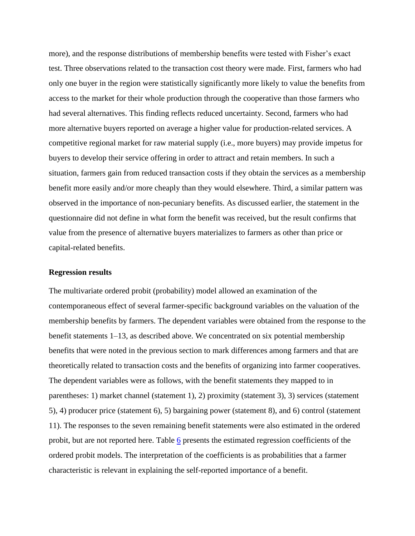more), and the response distributions of membership benefits were tested with Fisher's exact test. Three observations related to the transaction cost theory were made. First, farmers who had only one buyer in the region were statistically significantly more likely to value the benefits from access to the market for their whole production through the cooperative than those farmers who had several alternatives. This finding reflects reduced uncertainty. Second, farmers who had more alternative buyers reported on average a higher value for production-related services. A competitive regional market for raw material supply (i.e., more buyers) may provide impetus for buyers to develop their service offering in order to attract and retain members. In such a situation, farmers gain from reduced transaction costs if they obtain the services as a membership benefit more easily and/or more cheaply than they would elsewhere. Third, a similar pattern was observed in the importance of non-pecuniary benefits. As discussed earlier, the statement in the questionnaire did not define in what form the benefit was received, but the result confirms that value from the presence of alternative buyers materializes to farmers as other than price or capital-related benefits.

#### **Regression results**

The multivariate ordered probit (probability) model allowed an examination of the contemporaneous effect of several farmer-specific background variables on the valuation of the membership benefits by farmers. The dependent variables were obtained from the response to the benefit statements 1–13, as described above. We concentrated on six potential membership benefits that were noted in the previous section to mark differences among farmers and that are theoretically related to transaction costs and the benefits of organizing into farmer cooperatives. The dependent variables were as follows, with the benefit statements they mapped to in parentheses: 1) market channel (statement 1), 2) proximity (statement 3), 3) services (statement 5), 4) producer price (statement 6), 5) bargaining power (statement 8), and 6) control (statement 11). The responses to the seven remaining benefit statements were also estimated in the ordered probit, but are not reported here. Table  $6$  presents the estimated regression coefficients of the ordered probit models. The interpretation of the coefficients is as probabilities that a farmer characteristic is relevant in explaining the self-reported importance of a benefit.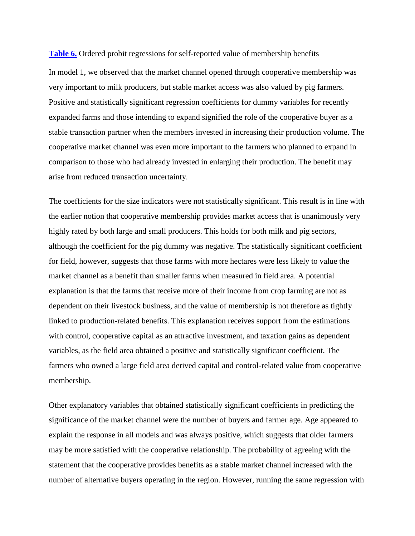**[Table 6.](http://www.agrifoodecon.com/content/3/1/23/table/T6)** Ordered probit regressions for self-reported value of membership benefits

In model 1, we observed that the market channel opened through cooperative membership was very important to milk producers, but stable market access was also valued by pig farmers. Positive and statistically significant regression coefficients for dummy variables for recently expanded farms and those intending to expand signified the role of the cooperative buyer as a stable transaction partner when the members invested in increasing their production volume. The cooperative market channel was even more important to the farmers who planned to expand in comparison to those who had already invested in enlarging their production. The benefit may arise from reduced transaction uncertainty.

The coefficients for the size indicators were not statistically significant. This result is in line with the earlier notion that cooperative membership provides market access that is unanimously very highly rated by both large and small producers. This holds for both milk and pig sectors, although the coefficient for the pig dummy was negative. The statistically significant coefficient for field, however, suggests that those farms with more hectares were less likely to value the market channel as a benefit than smaller farms when measured in field area. A potential explanation is that the farms that receive more of their income from crop farming are not as dependent on their livestock business, and the value of membership is not therefore as tightly linked to production-related benefits. This explanation receives support from the estimations with control, cooperative capital as an attractive investment, and taxation gains as dependent variables, as the field area obtained a positive and statistically significant coefficient. The farmers who owned a large field area derived capital and control-related value from cooperative membership.

Other explanatory variables that obtained statistically significant coefficients in predicting the significance of the market channel were the number of buyers and farmer age. Age appeared to explain the response in all models and was always positive, which suggests that older farmers may be more satisfied with the cooperative relationship. The probability of agreeing with the statement that the cooperative provides benefits as a stable market channel increased with the number of alternative buyers operating in the region. However, running the same regression with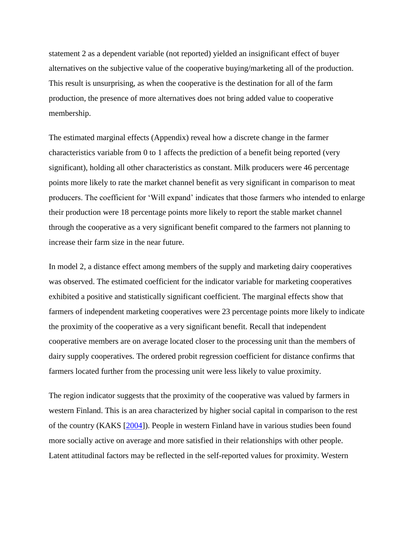statement 2 as a dependent variable (not reported) yielded an insignificant effect of buyer alternatives on the subjective value of the cooperative buying/marketing all of the production. This result is unsurprising, as when the cooperative is the destination for all of the farm production, the presence of more alternatives does not bring added value to cooperative membership.

The estimated marginal effects (Appendix) reveal how a discrete change in the farmer characteristics variable from 0 to 1 affects the prediction of a benefit being reported (very significant), holding all other characteristics as constant. Milk producers were 46 percentage points more likely to rate the market channel benefit as very significant in comparison to meat producers. The coefficient for 'Will expand' indicates that those farmers who intended to enlarge their production were 18 percentage points more likely to report the stable market channel through the cooperative as a very significant benefit compared to the farmers not planning to increase their farm size in the near future.

In model 2, a distance effect among members of the supply and marketing dairy cooperatives was observed. The estimated coefficient for the indicator variable for marketing cooperatives exhibited a positive and statistically significant coefficient. The marginal effects show that farmers of independent marketing cooperatives were 23 percentage points more likely to indicate the proximity of the cooperative as a very significant benefit. Recall that independent cooperative members are on average located closer to the processing unit than the members of dairy supply cooperatives. The ordered probit regression coefficient for distance confirms that farmers located further from the processing unit were less likely to value proximity.

The region indicator suggests that the proximity of the cooperative was valued by farmers in western Finland. This is an area characterized by higher social capital in comparison to the rest of the country (KAKS [\[2004\]](http://www.agrifoodecon.com/content/3/1/23#B12)). People in western Finland have in various studies been found more socially active on average and more satisfied in their relationships with other people. Latent attitudinal factors may be reflected in the self-reported values for proximity. Western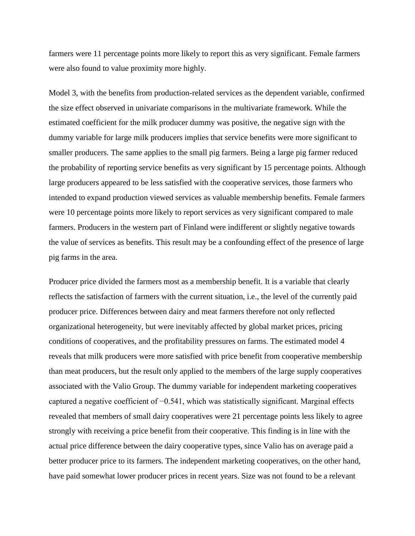farmers were 11 percentage points more likely to report this as very significant. Female farmers were also found to value proximity more highly.

Model 3, with the benefits from production-related services as the dependent variable, confirmed the size effect observed in univariate comparisons in the multivariate framework. While the estimated coefficient for the milk producer dummy was positive, the negative sign with the dummy variable for large milk producers implies that service benefits were more significant to smaller producers. The same applies to the small pig farmers. Being a large pig farmer reduced the probability of reporting service benefits as very significant by 15 percentage points. Although large producers appeared to be less satisfied with the cooperative services, those farmers who intended to expand production viewed services as valuable membership benefits. Female farmers were 10 percentage points more likely to report services as very significant compared to male farmers. Producers in the western part of Finland were indifferent or slightly negative towards the value of services as benefits. This result may be a confounding effect of the presence of large pig farms in the area.

Producer price divided the farmers most as a membership benefit. It is a variable that clearly reflects the satisfaction of farmers with the current situation, i.e., the level of the currently paid producer price. Differences between dairy and meat farmers therefore not only reflected organizational heterogeneity, but were inevitably affected by global market prices, pricing conditions of cooperatives, and the profitability pressures on farms. The estimated model 4 reveals that milk producers were more satisfied with price benefit from cooperative membership than meat producers, but the result only applied to the members of the large supply cooperatives associated with the Valio Group. The dummy variable for independent marketing cooperatives captured a negative coefficient of −0.541, which was statistically significant. Marginal effects revealed that members of small dairy cooperatives were 21 percentage points less likely to agree strongly with receiving a price benefit from their cooperative. This finding is in line with the actual price difference between the dairy cooperative types, since Valio has on average paid a better producer price to its farmers. The independent marketing cooperatives, on the other hand, have paid somewhat lower producer prices in recent years. Size was not found to be a relevant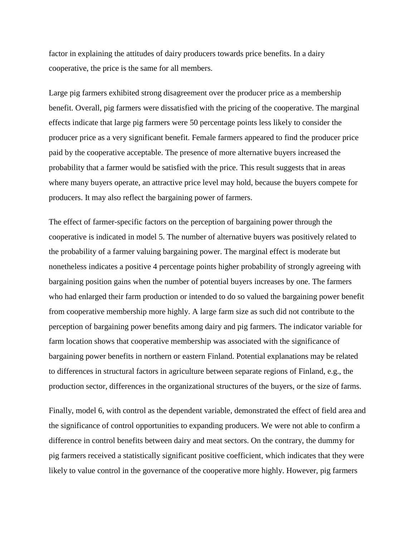factor in explaining the attitudes of dairy producers towards price benefits. In a dairy cooperative, the price is the same for all members.

Large pig farmers exhibited strong disagreement over the producer price as a membership benefit. Overall, pig farmers were dissatisfied with the pricing of the cooperative. The marginal effects indicate that large pig farmers were 50 percentage points less likely to consider the producer price as a very significant benefit. Female farmers appeared to find the producer price paid by the cooperative acceptable. The presence of more alternative buyers increased the probability that a farmer would be satisfied with the price. This result suggests that in areas where many buyers operate, an attractive price level may hold, because the buyers compete for producers. It may also reflect the bargaining power of farmers.

The effect of farmer-specific factors on the perception of bargaining power through the cooperative is indicated in model 5. The number of alternative buyers was positively related to the probability of a farmer valuing bargaining power. The marginal effect is moderate but nonetheless indicates a positive 4 percentage points higher probability of strongly agreeing with bargaining position gains when the number of potential buyers increases by one. The farmers who had enlarged their farm production or intended to do so valued the bargaining power benefit from cooperative membership more highly. A large farm size as such did not contribute to the perception of bargaining power benefits among dairy and pig farmers. The indicator variable for farm location shows that cooperative membership was associated with the significance of bargaining power benefits in northern or eastern Finland. Potential explanations may be related to differences in structural factors in agriculture between separate regions of Finland, e.g., the production sector, differences in the organizational structures of the buyers, or the size of farms.

Finally, model 6, with control as the dependent variable, demonstrated the effect of field area and the significance of control opportunities to expanding producers. We were not able to confirm a difference in control benefits between dairy and meat sectors. On the contrary, the dummy for pig farmers received a statistically significant positive coefficient, which indicates that they were likely to value control in the governance of the cooperative more highly. However, pig farmers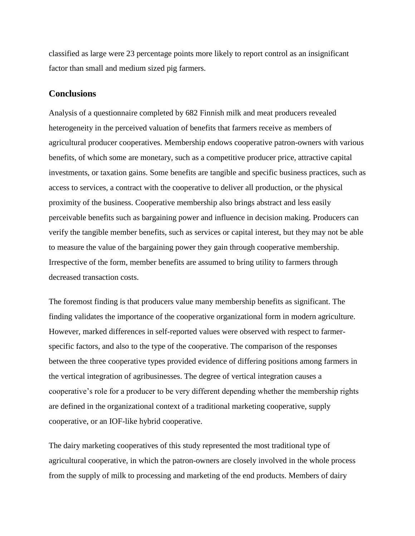classified as large were 23 percentage points more likely to report control as an insignificant factor than small and medium sized pig farmers.

## **Conclusions**

Analysis of a questionnaire completed by 682 Finnish milk and meat producers revealed heterogeneity in the perceived valuation of benefits that farmers receive as members of agricultural producer cooperatives. Membership endows cooperative patron-owners with various benefits, of which some are monetary, such as a competitive producer price, attractive capital investments, or taxation gains. Some benefits are tangible and specific business practices, such as access to services, a contract with the cooperative to deliver all production, or the physical proximity of the business. Cooperative membership also brings abstract and less easily perceivable benefits such as bargaining power and influence in decision making. Producers can verify the tangible member benefits, such as services or capital interest, but they may not be able to measure the value of the bargaining power they gain through cooperative membership. Irrespective of the form, member benefits are assumed to bring utility to farmers through decreased transaction costs.

The foremost finding is that producers value many membership benefits as significant. The finding validates the importance of the cooperative organizational form in modern agriculture. However, marked differences in self-reported values were observed with respect to farmerspecific factors, and also to the type of the cooperative. The comparison of the responses between the three cooperative types provided evidence of differing positions among farmers in the vertical integration of agribusinesses. The degree of vertical integration causes a cooperative's role for a producer to be very different depending whether the membership rights are defined in the organizational context of a traditional marketing cooperative, supply cooperative, or an IOF-like hybrid cooperative.

The dairy marketing cooperatives of this study represented the most traditional type of agricultural cooperative, in which the patron-owners are closely involved in the whole process from the supply of milk to processing and marketing of the end products. Members of dairy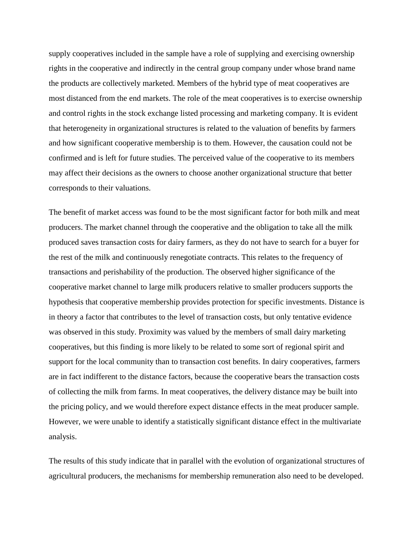supply cooperatives included in the sample have a role of supplying and exercising ownership rights in the cooperative and indirectly in the central group company under whose brand name the products are collectively marketed. Members of the hybrid type of meat cooperatives are most distanced from the end markets. The role of the meat cooperatives is to exercise ownership and control rights in the stock exchange listed processing and marketing company. It is evident that heterogeneity in organizational structures is related to the valuation of benefits by farmers and how significant cooperative membership is to them. However, the causation could not be confirmed and is left for future studies. The perceived value of the cooperative to its members may affect their decisions as the owners to choose another organizational structure that better corresponds to their valuations.

The benefit of market access was found to be the most significant factor for both milk and meat producers. The market channel through the cooperative and the obligation to take all the milk produced saves transaction costs for dairy farmers, as they do not have to search for a buyer for the rest of the milk and continuously renegotiate contracts. This relates to the frequency of transactions and perishability of the production. The observed higher significance of the cooperative market channel to large milk producers relative to smaller producers supports the hypothesis that cooperative membership provides protection for specific investments. Distance is in theory a factor that contributes to the level of transaction costs, but only tentative evidence was observed in this study. Proximity was valued by the members of small dairy marketing cooperatives, but this finding is more likely to be related to some sort of regional spirit and support for the local community than to transaction cost benefits. In dairy cooperatives, farmers are in fact indifferent to the distance factors, because the cooperative bears the transaction costs of collecting the milk from farms. In meat cooperatives, the delivery distance may be built into the pricing policy, and we would therefore expect distance effects in the meat producer sample. However, we were unable to identify a statistically significant distance effect in the multivariate analysis.

The results of this study indicate that in parallel with the evolution of organizational structures of agricultural producers, the mechanisms for membership remuneration also need to be developed.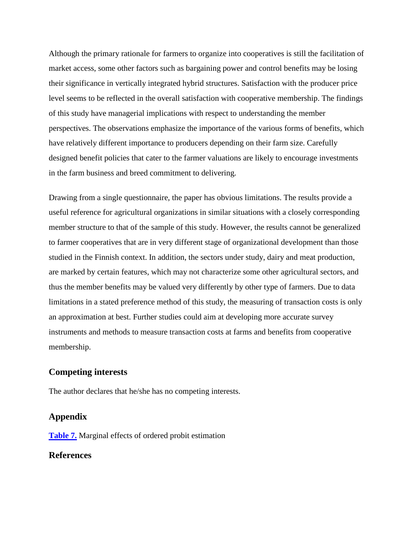Although the primary rationale for farmers to organize into cooperatives is still the facilitation of market access, some other factors such as bargaining power and control benefits may be losing their significance in vertically integrated hybrid structures. Satisfaction with the producer price level seems to be reflected in the overall satisfaction with cooperative membership. The findings of this study have managerial implications with respect to understanding the member perspectives. The observations emphasize the importance of the various forms of benefits, which have relatively different importance to producers depending on their farm size. Carefully designed benefit policies that cater to the farmer valuations are likely to encourage investments in the farm business and breed commitment to delivering.

Drawing from a single questionnaire, the paper has obvious limitations. The results provide a useful reference for agricultural organizations in similar situations with a closely corresponding member structure to that of the sample of this study. However, the results cannot be generalized to farmer cooperatives that are in very different stage of organizational development than those studied in the Finnish context. In addition, the sectors under study, dairy and meat production, are marked by certain features, which may not characterize some other agricultural sectors, and thus the member benefits may be valued very differently by other type of farmers. Due to data limitations in a stated preference method of this study, the measuring of transaction costs is only an approximation at best. Further studies could aim at developing more accurate survey instruments and methods to measure transaction costs at farms and benefits from cooperative membership.

## **Competing interests**

The author declares that he/she has no competing interests.

## **Appendix**

**[Table 7.](http://www.agrifoodecon.com/content/3/1/23/table/T7)** Marginal effects of ordered probit estimation

## **References**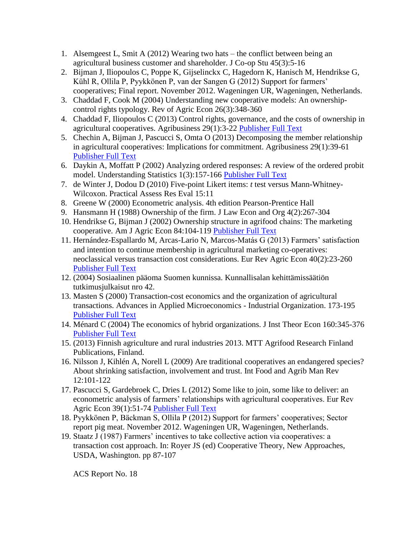- 1. Alsemgeest L, Smit A (2012) Wearing two hats the conflict between being an agricultural business customer and shareholder. J Co-op Stu 45(3):5-16
- 2. Bijman J, Iliopoulos C, Poppe K, Gijselinckx C, Hagedorn K, Hanisch M, Hendrikse G, Kühl R, Ollila P, Pyykkönen P, van der Sangen G (2012) Support for farmers' cooperatives; Final report. November 2012. Wageningen UR, Wageningen, Netherlands.
- 3. Chaddad F, Cook M (2004) Understanding new cooperative models: An ownershipcontrol rights typology. Rev of Agric Econ 26(3):348-360
- 4. Chaddad F, Iliopoulos C (2013) Control rights, governance, and the costs of ownership in agricultural cooperatives. Agribusiness 29(1):3-22 [Publisher](http://dx.doi.org/10.1002/agr.21328) Full Text
- 5. Chechin A, Bijman J, Pascucci S, Omta O (2013) Decomposing the member relationship in agricultural cooperatives: Implications for commitment. Agribusiness 29(1):39-61 [Publisher](http://dx.doi.org/10.1002/agr.21321) Full Text
- 6. Daykin A, Moffatt P (2002) Analyzing ordered responses: A review of the ordered probit model. Understanding Statistics 1(3):157-166 [Publisher](http://dx.doi.org/10.1207/S15328031US0103_02) Full Text
- 7. de Winter J, Dodou D (2010) Five-point Likert items: *t* test versus Mann-Whitney-Wilcoxon. Practical Assess Res Eval 15:11
- 8. Greene W (2000) Econometric analysis. 4th edition Pearson-Prentice Hall
- 9. Hansmann H (1988) Ownership of the firm. J Law Econ and Org 4(2):267-304
- 10. Hendrikse G, Bijman J (2002) Ownership structure in agrifood chains: The marketing cooperative. Am J Agric Econ 84:104-119 [Publisher](http://dx.doi.org/10.1111/1467-8276.00246) Full Text
- 11. Hernández-Espallardo M, Arcas-Lario N, Marcos-Matás G (2013) Farmers' satisfaction and intention to continue membership in agricultural marketing co-operatives: neoclassical versus transaction cost considerations. Eur Rev Agric Econ 40(2):23-260 [Publisher](http://dx.doi.org/10.1093/erae/jbs024) Full Text
- 12. (2004) Sosiaalinen pääoma Suomen kunnissa. Kunnallisalan kehittämissäätiön tutkimusjulkaisut nro 42.
- 13. Masten S (2000) Transaction-cost economics and the organization of agricultural transactions. Advances in Applied Microeconomics - Industrial Organization. 173-195 [Publisher](http://dx.doi.org/10.1016/S0278-0984%2800%2909050-7) Full Text
- 14. Ménard C (2004) The economics of hybrid organizations. J Inst Theor Econ 160:345-376 [Publisher](http://dx.doi.org/10.1628/0932456041960605) Full Text
- 15. (2013) Finnish agriculture and rural industries 2013. MTT Agrifood Research Finland Publications, Finland.
- 16. Nilsson J, Kihlén A, Norell L (2009) Are traditional cooperatives an endangered species? About shrinking satisfaction, involvement and trust. Int Food and Agrib Man Rev 12:101-122
- 17. Pascucci S, Gardebroek C, Dries L (2012) Some like to join, some like to deliver: an econometric analysis of farmers' relationships with agricultural cooperatives. Eur Rev Agric Econ 39(1):51-74 [Publisher](http://dx.doi.org/10.1093/erae/jbr027) Full Text
- 18. Pyykkönen P, Bäckman S, Ollila P (2012) Support for farmers' cooperatives; Sector report pig meat. November 2012. Wageningen UR, Wageningen, Netherlands.
- 19. Staatz J (1987) Farmers' incentives to take collective action via cooperatives: a transaction cost approach. In: Royer JS (ed) Cooperative Theory, New Approaches, USDA, Washington. pp 87-107

ACS Report No. 18